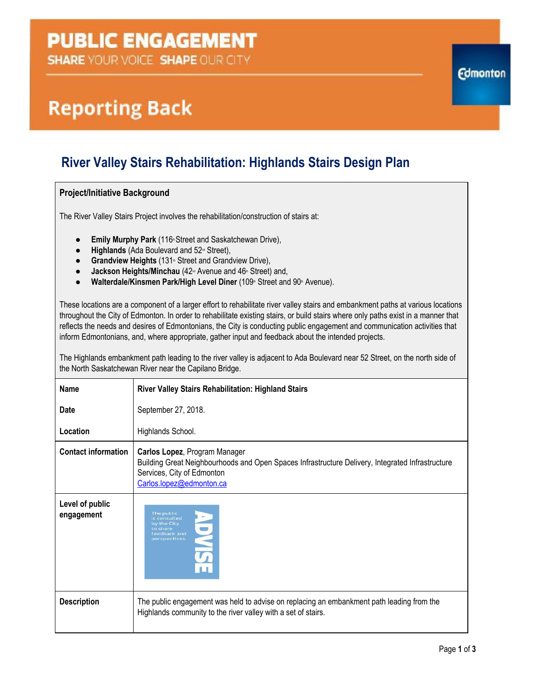## **PUBLIC ENGAGEMENT**

**SHARE YOUR VOICE SHAPE OUR CITY** 

# **Reporting Back**

### **River Valley Stairs Rehabilitation: Highlands Stairs Design Plan**

#### **Project/Initiative Background**

The River Valley Stairs Project involves the rehabilitation/construction of stairs at:

- **Emily Murphy Park** (116<sup>th</sup> Street and Saskatchewan Drive),
- **Highlands** (Ada Boulevard and 52<sup>nd</sup> Street),
- **Grandview Heights** (131<sup>th</sup> Street and Grandview Drive),
- **Jackson Heights/Minchau** (42<sup> $\text{nd}$ </sup> Avenue and 46<sup>th</sup> Street) and,
- **Walterdale/Kinsmen Park/High Level Diner** (109th Street and 90<sup>th</sup> Avenue).

These locations are a component of a larger effort to rehabilitate river valley stairs and embankment paths at various locations throughout the City of Edmonton. In order to rehabilitate existing stairs, or build stairs where only paths exist in a manner that reflects the needs and desires of Edmontonians, the City is conducting public engagement and communication activities that inform Edmontonians, and, where appropriate, gather input and feedback about the intended projects.

The Highlands embankment path leading to the river valley is adjacent to Ada Boulevard near 52 Street, on the north side of the North Saskatchewan River near the Capilano Bridge.

| <b>Name</b>                   | <b>River Valley Stairs Rehabilitation: Highland Stairs</b>                                                                                                                                  |
|-------------------------------|---------------------------------------------------------------------------------------------------------------------------------------------------------------------------------------------|
| <b>Date</b>                   | September 27, 2018.                                                                                                                                                                         |
| Location                      | Highlands School.                                                                                                                                                                           |
| <b>Contact information</b>    | Carlos Lopez, Program Manager<br>Building Great Neighbourhoods and Open Spaces Infrastructure Delivery, Integrated Infrastructure<br>Services, City of Edmonton<br>Carlos.lopez@edmonton.ca |
| Level of public<br>engagement | The public<br>is consulted<br>by the City<br>to share<br>feedback and<br>perspectives.                                                                                                      |
| <b>Description</b>            | The public engagement was held to advise on replacing an embankment path leading from the<br>Highlands community to the river valley with a set of stairs.                                  |

**Edmonton**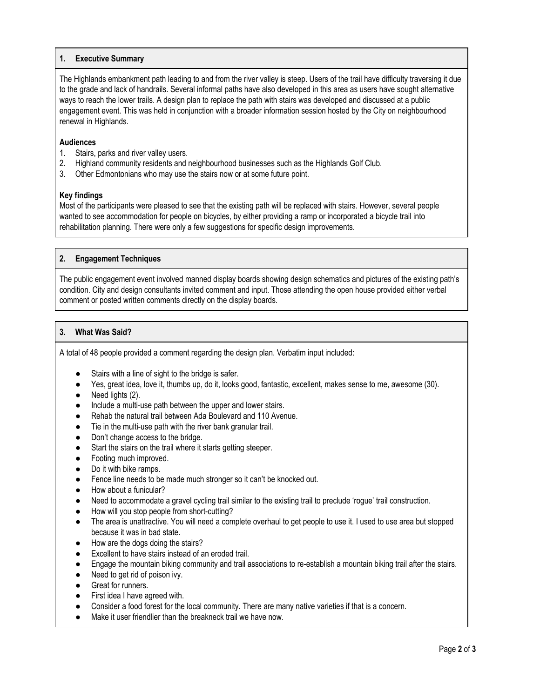#### **1. Executive Summary**

The Highlands embankment path leading to and from the river valley is steep. Users of the trail have difficulty traversing it due to the grade and lack of handrails. Several informal paths have also developed in this area as users have sought alternative ways to reach the lower trails. A design plan to replace the path with stairs was developed and discussed at a public engagement event. This was held in conjunction with a broader information session hosted by the City on neighbourhood renewal in Highlands.

#### **Audiences**

- 1. Stairs, parks and river valley users.
- 2. Highland community residents and neighbourhood businesses such as the Highlands Golf Club.
- 3. Other Edmontonians who may use the stairs now or at some future point.

#### **Key findings**

Most of the participants were pleased to see that the existing path will be replaced with stairs. However, several people wanted to see accommodation for people on bicycles, by either providing a ramp or incorporated a bicycle trail into rehabilitation planning. There were only a few suggestions for specific design improvements.

#### **2. Engagement Techniques**

The public engagement event involved manned display boards showing design schematics and pictures of the existing path's condition. City and design consultants invited comment and input. Those attending the open house provided either verbal comment or posted written comments directly on the display boards.

#### **3. What Was Said?**

A total of 48 people provided a comment regarding the design plan. Verbatim input included:

- Stairs with a line of sight to the bridge is safer.
- Yes, great idea, love it, thumbs up, do it, looks good, fantastic, excellent, makes sense to me, awesome (30).
- Need lights (2).
- Include a multi-use path between the upper and lower stairs.
- Rehab the natural trail between Ada Boulevard and 110 Avenue.
- Tie in the multi-use path with the river bank granular trail.
- Don't change access to the bridge.
- Start the stairs on the trail where it starts getting steeper.
- Footing much improved.
- Do it with bike ramps.
- Fence line needs to be made much stronger so it can't be knocked out.
- How about a funicular?
- Need to accommodate a gravel cycling trail similar to the existing trail to preclude 'rogue' trail construction.
- How will you stop people from short-cutting?
- The area is unattractive. You will need a complete overhaul to get people to use it. I used to use area but stopped because it was in bad state.
- How are the dogs doing the stairs?
- Excellent to have stairs instead of an eroded trail.
- Engage the mountain biking community and trail associations to re-establish a mountain biking trail after the stairs.
- Need to get rid of poison ivy.
- Great for runners.
- First idea I have agreed with.
- Consider a food forest for the local community. There are many native varieties if that is a concern.
- Make it user friendlier than the breakneck trail we have now.